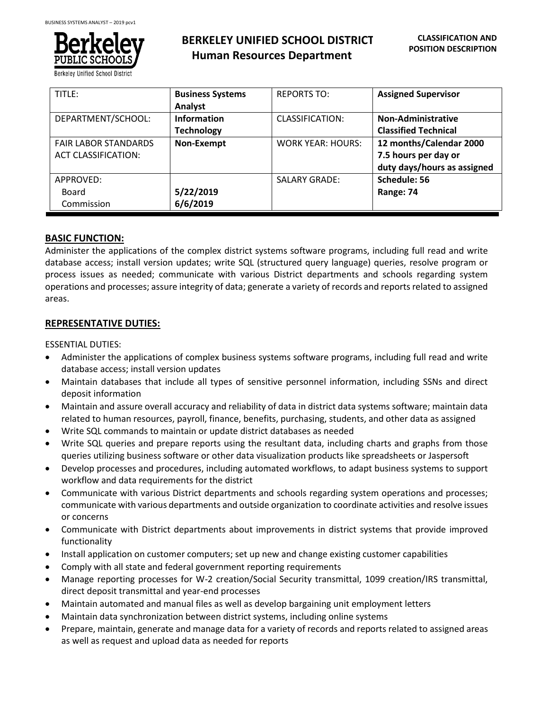

| TITLE:                                                    | <b>Business Systems</b><br>Analyst      | <b>REPORTS TO:</b>       | <b>Assigned Supervisor</b>                                                     |
|-----------------------------------------------------------|-----------------------------------------|--------------------------|--------------------------------------------------------------------------------|
| DEPARTMENT/SCHOOL:                                        | <b>Information</b><br><b>Technology</b> | CLASSIFICATION:          | <b>Non-Administrative</b><br><b>Classified Technical</b>                       |
| <b>FAIR LABOR STANDARDS</b><br><b>ACT CLASSIFICATION:</b> | Non-Exempt                              | <b>WORK YEAR: HOURS:</b> | 12 months/Calendar 2000<br>7.5 hours per day or<br>duty days/hours as assigned |
| APPROVED:<br>Board<br>Commission                          | 5/22/2019<br>6/6/2019                   | <b>SALARY GRADE:</b>     | Schedule: 56<br>Range: 74                                                      |

## **BASIC FUNCTION:**

Administer the applications of the complex district systems software programs, including full read and write database access; install version updates; write SQL (structured query language) queries, resolve program or process issues as needed; communicate with various District departments and schools regarding system operations and processes; assure integrity of data; generate a variety of records and reports related to assigned areas.

## **REPRESENTATIVE DUTIES:**

ESSENTIAL DUTIES:

- Administer the applications of complex business systems software programs, including full read and write database access; install version updates
- Maintain databases that include all types of sensitive personnel information, including SSNs and direct deposit information
- Maintain and assure overall accuracy and reliability of data in district data systems software; maintain data related to human resources, payroll, finance, benefits, purchasing, students, and other data as assigned
- Write SQL commands to maintain or update district databases as needed
- Write SQL queries and prepare reports using the resultant data, including charts and graphs from those queries utilizing business software or other data visualization products like spreadsheets or Jaspersoft
- Develop processes and procedures, including automated workflows, to adapt business systems to support workflow and data requirements for the district
- Communicate with various District departments and schools regarding system operations and processes; communicate with various departments and outside organization to coordinate activities and resolve issues or concerns
- Communicate with District departments about improvements in district systems that provide improved functionality
- Install application on customer computers; set up new and change existing customer capabilities
- Comply with all state and federal government reporting requirements
- Manage reporting processes for W-2 creation/Social Security transmittal, 1099 creation/IRS transmittal, direct deposit transmittal and year-end processes
- Maintain automated and manual files as well as develop bargaining unit employment letters
- Maintain data synchronization between district systems, including online systems
- Prepare, maintain, generate and manage data for a variety of records and reports related to assigned areas as well as request and upload data as needed for reports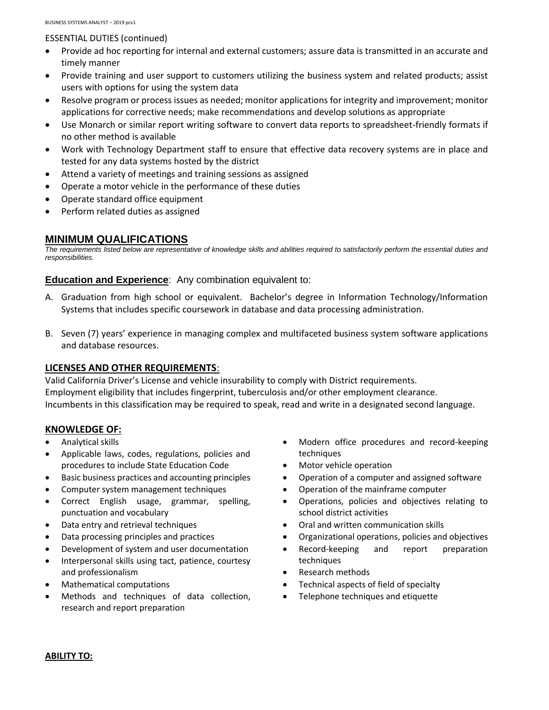### ESSENTIAL DUTIES (continued)

- Provide ad hoc reporting for internal and external customers; assure data is transmitted in an accurate and timely manner
- Provide training and user support to customers utilizing the business system and related products; assist users with options for using the system data
- Resolve program or process issues as needed; monitor applications for integrity and improvement; monitor applications for corrective needs; make recommendations and develop solutions as appropriate
- Use Monarch or similar report writing software to convert data reports to spreadsheet-friendly formats if no other method is available
- Work with Technology Department staff to ensure that effective data recovery systems are in place and tested for any data systems hosted by the district
- Attend a variety of meetings and training sessions as assigned
- Operate a motor vehicle in the performance of these duties
- Operate standard office equipment
- Perform related duties as assigned

# **MINIMUM QUALIFICATIONS**

*The requirements listed below are representative of knowledge skills and abilities required to satisfactorily perform the essential duties and responsibilities.*

**Education and Experience:** Any combination equivalent to:

- A. Graduation from high school or equivalent. Bachelor's degree in Information Technology/Information Systems that includes specific coursework in database and data processing administration.
- B. Seven (7) years' experience in managing complex and multifaceted business system software applications and database resources.

### **LICENSES AND OTHER REQUIREMENTS**:

Valid California Driver's License and vehicle insurability to comply with District requirements. Employment eligibility that includes fingerprint, tuberculosis and/or other employment clearance. Incumbents in this classification may be required to speak, read and write in a designated second language.

## **KNOWLEDGE OF:**

- Analytical skills
- Applicable laws, codes, regulations, policies and procedures to include State Education Code
- Basic business practices and accounting principles
- Computer system management techniques
- Correct English usage, grammar, spelling, punctuation and vocabulary
- Data entry and retrieval techniques
- Data processing principles and practices
- Development of system and user documentation
- Interpersonal skills using tact, patience, courtesy and professionalism
- Mathematical computations
- Methods and techniques of data collection, research and report preparation
- Modern office procedures and record-keeping techniques
- Motor vehicle operation
- Operation of a computer and assigned software
- Operation of the mainframe computer
- Operations, policies and objectives relating to school district activities
- Oral and written communication skills
- Organizational operations, policies and objectives
- Record-keeping and report preparation techniques
- Research methods
- Technical aspects of field of specialty
- Telephone techniques and etiquette